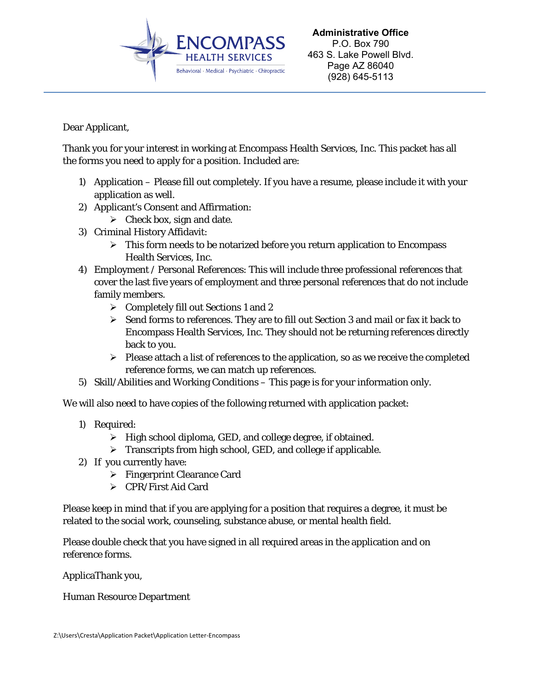

Dear Applicant,

Thank you for your interest in working at Encompass Health Services, Inc. This packet has all the forms you need to apply for a position. Included are:

- 1) Application Please fill out completely. If you have a resume, please include it with your application as well.
- 2) Applicant's Consent and Affirmation:
	- $\triangleright$  Check box, sign and date.
- 3) Criminal History Affidavit:
	- $\triangleright$  This form needs to be notarized before you return application to Encompass Health Services, Inc.
- 4) Employment / Personal References: This will include three professional references that cover the last five years of employment and three personal references that do not include family members.
	- $\triangleright$  Completely fill out Sections 1 and 2
	- $\triangleright$  Send forms to references. They are to fill out Section 3 and mail or fax it back to Encompass Health Services, Inc. They should not be returning references directly back to you.
	- $\triangleright$  Please attach a list of references to the application, so as we receive the completed reference forms, we can match up references.
- 5) Skill/Abilities and Working Conditions This page is for your information only.

We will also need to have copies of the following returned with application packet:

- 1) Required:
	- $\triangleright$  High school diploma, GED, and college degree, if obtained.
	- $\triangleright$  Transcripts from high school, GED, and college if applicable.
- 2) If you currently have:
	- $\triangleright$  Fingerprint Clearance Card
	- CPR/First Aid Card

Please keep in mind that if you are applying for a position that requires a degree, it must be related to the social work, counseling, substance abuse, or mental health field.

Please double check that you have signed in all required areas in the application and on reference forms.

ApplicaThank you,

Human Resource Department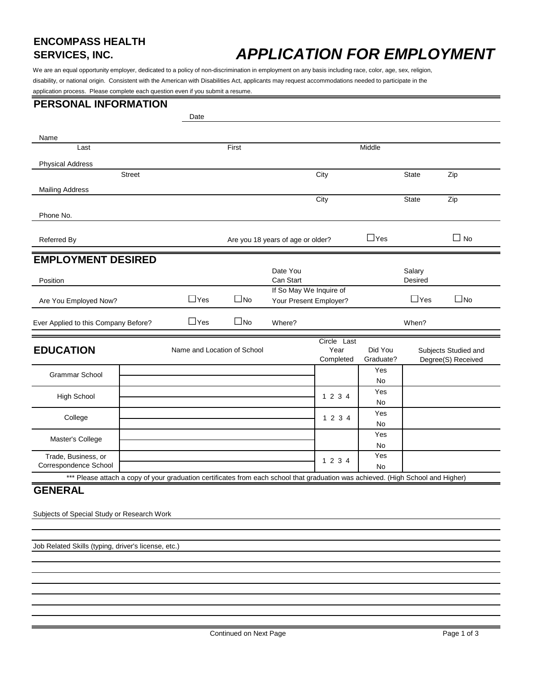# **ENCOMPASS HEALTH**

## **APPLICATION FOR EMPLOYMENT**

We are an equal opportunity employer, dedicated to a policy of non-discrimination in employment on any basis including race, color, age, sex, religion, disability, or national origin. Consistent with the American with Disabilities Act, applicants may request accommodations needed to participate in the application process. Please complete each question even if you submit a resume.

#### **PERSONAL INFORMATION**

|                                                                                                                                  |               | Date                        |              |                                                   |                                  |                      |                   |                                            |
|----------------------------------------------------------------------------------------------------------------------------------|---------------|-----------------------------|--------------|---------------------------------------------------|----------------------------------|----------------------|-------------------|--------------------------------------------|
| Name                                                                                                                             |               |                             |              |                                                   |                                  |                      |                   |                                            |
| Last                                                                                                                             |               |                             | First        |                                                   |                                  | Middle               |                   |                                            |
| <b>Physical Address</b>                                                                                                          |               |                             |              |                                                   |                                  |                      |                   |                                            |
|                                                                                                                                  | <b>Street</b> |                             |              |                                                   | City                             |                      | <b>State</b>      | Zip                                        |
| <b>Mailing Address</b>                                                                                                           |               |                             |              |                                                   |                                  |                      |                   |                                            |
|                                                                                                                                  |               |                             |              |                                                   | City                             |                      | <b>State</b>      | Zip                                        |
| Phone No.                                                                                                                        |               |                             |              |                                                   |                                  |                      |                   |                                            |
| Referred By                                                                                                                      |               |                             |              | Are you 18 years of age or older?                 |                                  | $\Box$ Yes           |                   | $\Box$ No                                  |
| <b>EMPLOYMENT DESIRED</b>                                                                                                        |               |                             |              |                                                   |                                  |                      |                   |                                            |
| Position                                                                                                                         |               |                             |              | Date You<br>Can Start                             |                                  |                      | Salary<br>Desired |                                            |
| Are You Employed Now?                                                                                                            |               | $\Box$ Yes                  | $\square$ No | If So May We Inquire of<br>Your Present Employer? |                                  |                      | $\Box$ Yes        | $\square$ No                               |
| Ever Applied to this Company Before?                                                                                             |               | $\Box$ Yes                  | $\square$ No | Where?                                            |                                  |                      | When?             |                                            |
| <b>EDUCATION</b>                                                                                                                 |               | Name and Location of School |              |                                                   | Circle Last<br>Year<br>Completed | Did You<br>Graduate? |                   | Subjects Studied and<br>Degree(S) Received |
| <b>Grammar School</b>                                                                                                            |               |                             |              |                                                   |                                  | Yes                  |                   |                                            |
|                                                                                                                                  |               |                             |              |                                                   |                                  | No                   |                   |                                            |
| <b>High School</b>                                                                                                               |               |                             |              |                                                   | 1 2 3 4                          | Yes<br>No            |                   |                                            |
| College                                                                                                                          |               |                             |              |                                                   | 1 2 3 4                          | Yes<br><b>No</b>     |                   |                                            |
|                                                                                                                                  |               |                             |              |                                                   |                                  | Yes                  |                   |                                            |
| Master's College                                                                                                                 |               |                             |              |                                                   |                                  | No                   |                   |                                            |
| Trade, Business, or                                                                                                              |               |                             |              |                                                   | 1 2 3 4                          | Yes                  |                   |                                            |
| Correspondence School                                                                                                            |               |                             |              |                                                   |                                  | <b>No</b>            |                   |                                            |
| *** Please attach a copy of your graduation certificates from each school that graduation was achieved. (High School and Higher) |               |                             |              |                                                   |                                  |                      |                   |                                            |
| <b>GENERAL</b>                                                                                                                   |               |                             |              |                                                   |                                  |                      |                   |                                            |

Subjects of Special Study or Research Work

Job Related Skills (typing, driver's license, etc.)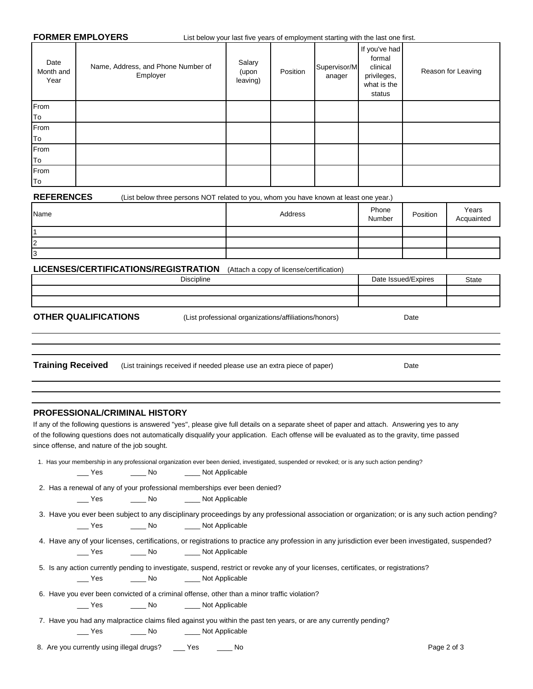**FORMER EMPLOYERS** List below your last five years of employment starting with the last one first.

| Date<br>Month and<br>Year | Name, Address, and Phone Number of<br>Employer | Salary<br>(upon<br>leaving) | Position | Supervisor/M<br>anager | If you've had<br>formal<br>clinical<br>privileges,<br>what is the<br>status | Reason for Leaving |
|---------------------------|------------------------------------------------|-----------------------------|----------|------------------------|-----------------------------------------------------------------------------|--------------------|
| From                      |                                                |                             |          |                        |                                                                             |                    |
| To                        |                                                |                             |          |                        |                                                                             |                    |
| From                      |                                                |                             |          |                        |                                                                             |                    |
| To                        |                                                |                             |          |                        |                                                                             |                    |
| From                      |                                                |                             |          |                        |                                                                             |                    |
| To                        |                                                |                             |          |                        |                                                                             |                    |
| From                      |                                                |                             |          |                        |                                                                             |                    |
| To                        |                                                |                             |          |                        |                                                                             |                    |

**REFERENCES** (List below three persons NOT related to you, whom you have known at least one year.)

| Name   | Address | Phone<br>Number | Position | Years<br>Acquainted |
|--------|---------|-----------------|----------|---------------------|
|        |         |                 |          |                     |
| ∩<br>L |         |                 |          |                     |
| I3     |         |                 |          |                     |

**LICENSES/CERTIFICATIONS/REGISTRATION** (Attach a copy of license/certification)

| Discipline | $\overline{1}$<br>Dat <sup>r</sup><br>Expires<br>$\sim$ | State |
|------------|---------------------------------------------------------|-------|
|            |                                                         |       |
|            |                                                         |       |

**OTHER QUALIFICATIONS** (List professional organizations/affiliations/honors)

Date

Date

**Training Received** (List trainings received if needed please use an extra piece of paper)

#### **PROFESSIONAL/CRIMINAL HISTORY**

of the following questions does not automatically disqualify your application. Each offense will be evaluated as to the gravity, time passed since offense, and nature of the job sought. If any of the following questions is answered "yes", please give full details on a separate sheet of paper and attach. Answering yes to any

|     |              |                      | 1. Has your membership in any professional organization ever been denied, investigated, suspended or revoked; or is any such action pending? |
|-----|--------------|----------------------|----------------------------------------------------------------------------------------------------------------------------------------------|
| Yes | $\_\_\_\$ No | _____ Not Applicable |                                                                                                                                              |

2. Has a renewal of any of your professional memberships ever been denied?

\_\_\_ Yes \_\_\_\_\_\_\_ No \_\_\_\_\_\_ Not Applicable

|     |                      | 3. Have you ever been subject to any disciplinary proceedings by any professional association or organization; or is any such action pending? |  |
|-----|----------------------|-----------------------------------------------------------------------------------------------------------------------------------------------|--|
| Yes | _____ Not Applicable |                                                                                                                                               |  |

- \_\_\_ Yes \_\_\_\_\_\_\_ No \_\_\_\_\_\_ Not Applicable 4. Have any of your licenses, certifications, or registrations to practice any profession in any jurisdiction ever been investigated, suspended?
- 5. Is any action currently pending to investigate, suspend, restrict or revoke any of your licenses, certificates, or registrations? \_\_\_ Yes \_\_\_\_ No \_\_\_\_ Not Applicable
- 6. Have you ever been convicted of a criminal offense, other than a minor traffic violation?

| No<br>Yes. | Not Applicable |
|------------|----------------|
|------------|----------------|

 7. Have you had any malpractice claims filed against you within the past ten years, or are any currently pending? \_\_\_ Yes \_\_\_\_\_\_\_ No \_\_\_\_\_\_\_ Not Applicable

8. Are you currently using illegal drugs? \_\_\_\_ Yes \_\_\_\_\_\_ No Page 2 of 3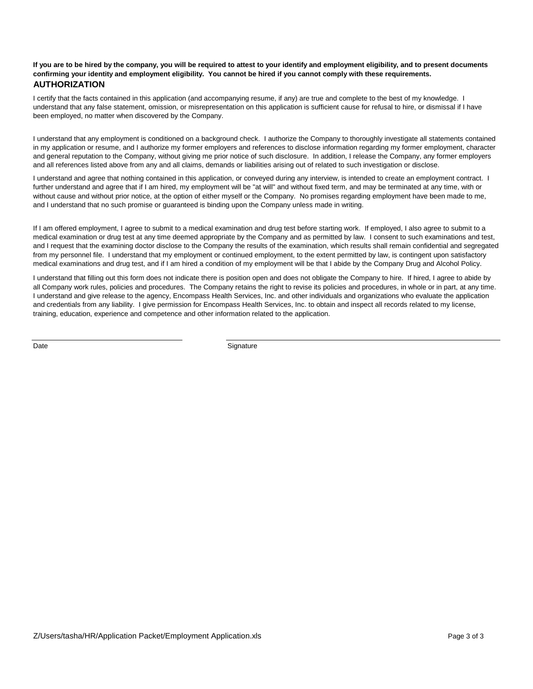#### **If you are to be hired by the company, you will be required to attest to your identify and employment eligibility, and to present documents confirming your identity and employment eligibility. You cannot be hired if you cannot comply with these requirements. AUTHORIZATION**

I certify that the facts contained in this application (and accompanying resume, if any) are true and complete to the best of my knowledge. I understand that any false statement, omission, or misrepresentation on this application is sufficient cause for refusal to hire, or dismissal if I have been employed, no matter when discovered by the Company.

I understand that any employment is conditioned on a background check. I authorize the Company to thoroughly investigate all statements contained in my application or resume, and I authorize my former employers and references to disclose information regarding my former employment, character and general reputation to the Company, without giving me prior notice of such disclosure. In addition, I release the Company, any former employers and all references listed above from any and all claims, demands or liabilities arising out of related to such investigation or disclose.

I understand and agree that nothing contained in this application, or conveyed during any interview, is intended to create an employment contract. I further understand and agree that if I am hired, my employment will be "at will" and without fixed term, and may be terminated at any time, with or without cause and without prior notice, at the option of either myself or the Company. No promises regarding employment have been made to me, and I understand that no such promise or guaranteed is binding upon the Company unless made in writing.

If I am offered employment, I agree to submit to a medical examination and drug test before starting work. If employed, I also agree to submit to a medical examination or drug test at any time deemed appropriate by the Company and as permitted by law. I consent to such examinations and test, and I request that the examining doctor disclose to the Company the results of the examination, which results shall remain confidential and segregated from my personnel file. I understand that my employment or continued employment, to the extent permitted by law, is contingent upon satisfactory medical examinations and drug test, and if I am hired a condition of my employment will be that I abide by the Company Drug and Alcohol Policy.

I understand that filling out this form does not indicate there is position open and does not obligate the Company to hire. If hired, I agree to abide by all Company work rules, policies and procedures. The Company retains the right to revise its policies and procedures, in whole or in part, at any time. I understand and give release to the agency, Encompass Health Services, Inc. and other individuals and organizations who evaluate the application and credentials from any liability. I give permission for Encompass Health Services, Inc. to obtain and inspect all records related to my license, training, education, experience and competence and other information related to the application.

Date Signature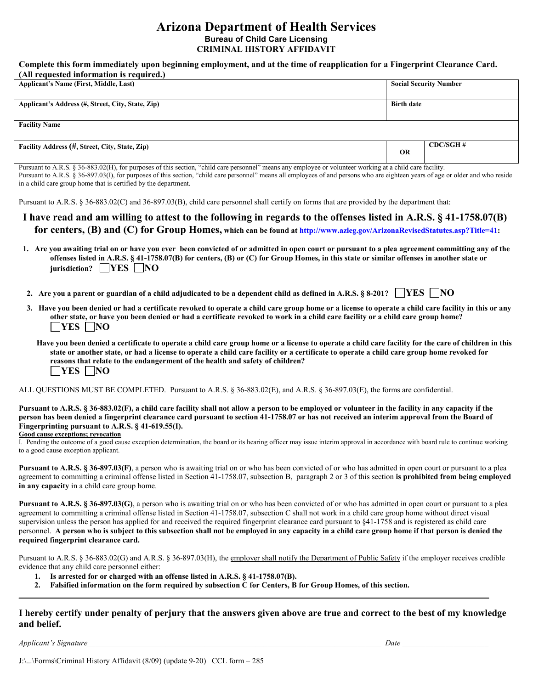#### **Arizona Department of Health Services Bureau of Child Care Licensing CRIMINAL HISTORY AFFIDAVIT**

#### **Complete this form immediately upon beginning employment, and at the time of reapplication for a Fingerprint Clearance Card. (All requested information is required.)**

| <b>Applicant's Name (First, Middle, Last)</b>     |                   | <b>Social Security Number</b> |
|---------------------------------------------------|-------------------|-------------------------------|
| Applicant's Address (#, Street, City, State, Zip) | <b>Birth date</b> |                               |
| <b>Facility Name</b>                              |                   |                               |
| Facility Address (#, Street, City, State, Zip)    | <b>OR</b>         | CDC/SGH#                      |

Pursuant to A.R.S. § 36-883.02(H), for purposes of this section, "child care personnel" means any employee or volunteer working at a child care facility. Pursuant to A.R.S. § 36-897.03(I), for purposes of this section, "child care personnel" means all employees of and persons who are eighteen years of age or older and who reside in a child care group home that is certified by the department.

Pursuant to A.R.S. § 36-883.02(C) and 36-897.03(B), child care personnel shall certify on forms that are provided by the department that:

- **I have read and am willing to attest to the following in regards to the offenses listed in A.R.S. § 41-1758.07(B) for centers, (B) and (C) for Group Homes, which can be found at [http://www.azleg.gov/ArizonaRevisedStatutes.asp?Title=41:](http://www.azleg.gov/ArizonaRevisedStatutes.asp?Title=41)**
- **1. Are you awaiting trial on or have you ever been convicted of or admitted in open court or pursuant to a plea agreement committing any of the offenses listed in A.R.S. § 41-1758.07(B) for centers, (B) or (C) for Group Homes, in this state or similar offenses in another state or jurisdiction? YES** NO
- **2.** Are you a parent or guardian of a child adjudicated to be a dependent child as defined in A.R.S. § 8-201?  $\Box$ YES  $\Box$ NO
- **3. Have you been denied or had a certificate revoked to operate a child care group home or a license to operate a child care facility in this or any other state, or have you been denied or had a certificate revoked to work in a child care facility or a child care group home? NO** 
	- **Have you been denied a certificate to operate a child care group home or a license to operate a child care facility for the care of children in this state or another state, or had a license to operate a child care facility or a certificate to operate a child care group home revoked for reasons that relate to the endangerment of the health and safety of children? NO**

ALL QUESTIONS MUST BE COMPLETED. Pursuant to A.R.S. § 36-883.02(E), and A.R.S. § 36-897.03(E), the forms are confidential.

**Pursuant to A.R.S. § 36-883.02(F), a child care facility shall not allow a person to be employed or volunteer in the facility in any capacity if the person has been denied a fingerprint clearance card pursuant to section 41-1758.07 or has not received an interim approval from the Board of Fingerprinting pursuant to A.R.S. § 41-619.55(I).** 

#### **Good cause exceptions; revocation**

I. Pending the outcome of a good cause exception determination, the board or its hearing officer may issue interim approval in accordance with board rule to continue working to a good cause exception applicant.

**Pursuant to A.R.S. § 36-897.03(F)**, a person who is awaiting trial on or who has been convicted of or who has admitted in open court or pursuant to a plea agreement to committing a criminal offense listed in Section 41-1758.07, subsection B, paragraph 2 or 3 of this section **is prohibited from being employed in any capacity** in a child care group home.

**Pursuant to A.R.S. § 36-897.03(G)**, a person who is awaiting trial on or who has been convicted of or who has admitted in open court or pursuant to a plea agreement to committing a criminal offense listed in Section 41-1758.07, subsection C shall not work in a child care group home without direct visual supervision unless the person has applied for and received the required fingerprint clearance card pursuant to §41-1758 and is registered as child care personnel. **A person who is subject to this subsection shall not be employed in any capacity in a child care group home if that person is denied the required fingerprint clearance card.**

Pursuant to A.R.S. § 36-883.02(G) and A.R.S. § 36-897.03(H), the employer shall notify the Department of Public Safety if the employer receives credible evidence that any child care personnel either:

- **1. Is arrested for or charged with an offense listed in A.R.S. § 41-1758.07(B).**
- **2. Falsified information on the form required by subsection C for Centers, B for Group Homes, of this section.**

#### **I hereby certify under penalty of perjury that the answers given above are true and correct to the best of my knowledge and belief.**

**\_\_\_\_\_\_\_\_\_\_\_\_\_\_\_\_\_\_\_\_\_\_\_\_\_\_\_\_\_\_\_\_\_\_\_\_\_\_\_\_\_\_\_\_\_\_\_\_\_\_\_\_\_\_\_\_\_\_\_\_\_\_\_\_\_\_\_\_\_\_\_\_\_\_\_\_\_\_\_\_\_\_\_\_\_\_\_\_\_\_\_\_\_\_\_\_\_\_\_\_\_\_\_\_\_\_\_\_\_\_\_\_\_\_\_\_\_\_\_\_**

*Applicant's Signature\_\_\_\_\_\_\_\_\_\_\_\_\_\_\_\_\_\_\_\_\_\_\_\_\_\_\_\_\_\_\_\_\_\_\_\_\_\_\_\_\_\_\_\_\_\_\_\_\_\_\_\_\_\_\_\_\_\_\_\_\_\_\_\_\_\_\_\_\_\_\_\_\_\_\_ Date \_\_\_\_\_\_\_\_\_\_\_\_\_\_\_\_\_\_\_\_\_\_*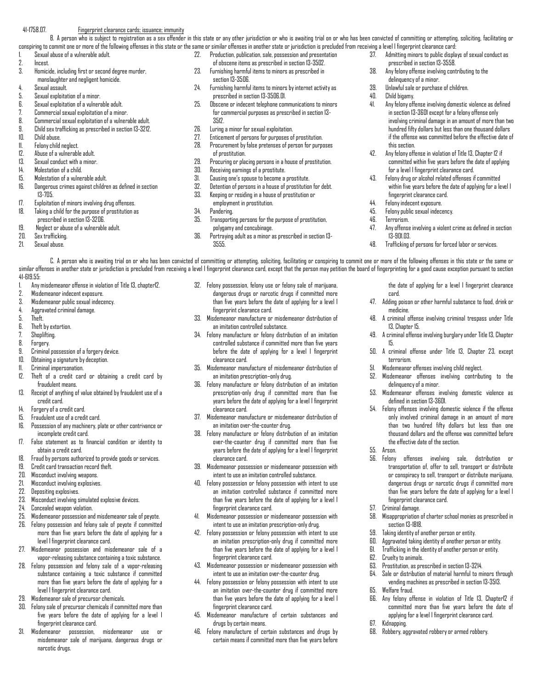#### 41-1758.07. Fingerprint clearance cards; issuance; immunity

B. A person who is subject to registration as a sex offender in this state or any other jurisdiction or who is awaiting trial on or who has been convicted of committing or attempting, soliciting, facilitating or conspiring to commit one or more of the following offenses in this state or the same or similar offenses in another state or jurisdiction is precluded from receiving a level I fingerprint clearance card:

- 1. Sexual abuse of a vulnerable adult.
- 
- 2. Incest.<br>3. Homici Homicide, including first or second degree murder, manslaughter and negligent homicide.
- 4. Sexual assault.
- 5. Sexual exploitation of a minor.
- 6. Sexual exploitation of a vulnerable adult.
- 7. Commercial sexual exploitation of a minor.
- 8. Commercial sexual exploitation of a vulnerable adult.
- 9. Child sex trafficking as prescribed in section 13-3212.
- 10. Child abuse.
- 11. Felony child neglect.
- 
- 12. Abuse of a vulnerable adult.<br>13. Sexual conduct with a minor Sexual conduct with a minor.
- 14. Molestation of a child.
- 
- 15. Molestation of a vulnerable adult.<br>16. Danoerous crimes against childre Dangerous crimes against children as defined in section 13-705.
- 17. Exploitation of minors involving drug offenses.
- 18. Taking a child for the purpose of prostitution as
- prescribed in section 13-3206.
- 19. Neglect or abuse of a vulnerable adult.
- 
- Sexual abuse.
- 
- 
- 20. Sex trafficking.<br>21. Sexual abuse
- 
- 22. Production, publication, sale, possession and presentation of obscene items as prescribed in section 13-3502.
- 23. Furnishing harmful items to minors as prescribed in section 13-3506.
- 24. Furnishing harmful items to minors by internet activity as prescribed in section 13-3506.01.
- 25. Obscene or indecent telephone communications to minors for commercial purposes as prescribed in section 13- 3512.
- 26. Luring a minor for sexual exploitation.
- 27. Enticement of persons for purposes of prostitution.
- 28. Procurement by false pretenses of person for purposes of prostitution.
- 29. Procuring or placing persons in a house of prostitution.
- 30. Receiving earnings of a prostitute.
- 31. Causing one's spouse to become a prostitute.
- Detention of persons in a house of prostitution for debt.
- 33. Keeping or residing in a house of prostitution or
- employment in prostitution.
- 34. Pandering.<br>35. Transportin
- 35. Transporting persons for the purpose of prostitution, polygamy and concubinage.
- 36. Portraying adult as a minor as prescribed in section 13- 3555.
- 37. Admitting minors to public displays of sexual conduct as prescribed in section 13-3558.
- 38. Any felony offense involving contributing to the delinquency of a minor.
- 39. Unlawful sale or purchase of children.
- 40. Child bigamy.
- 41. Any felony offense involving domestic violence as defined in section 13-3601 except for a felony offense only involving criminal damage in an amount of more than two hundred fifty dollars but less than one thousand dollars if the offense was committed before the effective date of this section.
- 42. Any felony offense in violation of Title 13, Chapter 12 if committed within five years before the date of applying for a level I fingerprint clearance card.
- 43. Felony drug or alcohol related offenses if committed within five years before the date of applying for a level I fingerprint clearance card.
- 44. Felony indecent exposure.
- 45. Felony public sexual indecency.<br>46. Tecnorism
- 46. Terrorism.

card.

15.

55. Arson.

57. Criminal damage.

62. Cruelty to animals.

65. Welfare fraud.

67. Kidnapping.

section 13-1818.

medicine.

terrorism.

13, Chapter 15.

47. Any offense involving a violent crime as defined in section 13-901.03.

the date of applying for a level I fingerprint clearance

47. Adding poison or other harmful substance to food, drink or

48. A criminal offense involving criminal trespass under Title

49. A criminal offense involving burglary under Title 13, Chapter

50. A criminal offense under Title 13, Chapter 23, except

53. Misdemeanor offenses involving domestic violence as

54. Felony offenses involving domestic violence if the offense only involved criminal damage in an amount of more than two hundred fifty dollars but less than one thousand dollars and the offense was committed before

56. Felony offenses involving sale, distribution or transportation of, offer to sell, transport or distribute or conspiracy to sell, transport or distribute marijuana, dangerous drugs or narcotic drugs if committed more than five years before the date of applying for a level I

58. Misappropriation of charter school monies as prescribed in

64. Sale or distribution of material harmful to minors through vending machines as prescribed in section 13-3513.

66. Any felony offense in violation of Title 13, Chapter12 if committed more than five years before the date of applying for a level I fingerprint clearance card.

51. Misdemeanor offenses involving child neglect. 52. Misdemeanor offenses involving contributing to the

delinquency of a minor.

defined in section 13-3601.

the effective date of the section.

fingerprint clearance card.

59. Taking identity of another person or entity. 60. Aggravated taking identity of another person or entity. 61. Trafficking in the identity of another person or entity.

63. Prostitution, as prescribed in section 13-3214.

68. Robbery, aggravated robbery or armed robbery.

48. Trafficking of persons for forced labor or services.

C. A person who is awaiting trial on or who has been convicted of committing or attempting, soliciting, facilitating or conspiring to commit one or more of the following offenses in this state or the same or similar offenses in another state or jurisdiction is precluded from receiving a level I fingerprint clearance card, except that the person may petition the board of fingerprinting for a good cause exception pursuant to sec 41-619.55:

- 1. Any misdemeanor offense in violation of Title 13, chapter12.
- 2. Misdemeanor indecent exposure.
- 3. Misdemeanor public sexual indecency.
- 4. Aggravated criminal damage.
- 5. Theft.
- 6. Theft by extortion.
- 
- 7. Shoplifting.<br>8 Encoery Forgery.
- 
- $9.$  Criminal possession of a forgery device.<br> $10$  Dhtaining a signature by decention
- 10. Obtaining a signature by deception.<br>11. Criminal impersonation. Criminal impersonation.
- 12. Theft of a credit card or obtaining a credit card by fraudulent means.
- 13. Receipt of anything of value obtained by fraudulent use of a credit card.
- 14. Forgery of a credit card.
- 
- 15. Fraudulent use of a credit card. Possession of any machinery, plate or other contrivance or incomplete credit card.
- 17. False statement as to financial condition or identity to obtain a credit card.
- 18. Fraud by persons authorized to provide goods or services.
- 19. Credit card transaction record theft.
- 20. Misconduct involving weapons.
- 21. Misconduct involving explosives.
- 22. Depositing explosives.
- 23. Misconduct involving simulated explosive devices.
- 24. Concealed weapon violation.
- 25. Misdemeanor possession and misdemeanor sale of peyote.
- 26. Felony possession and felony sale of peyote if committed more than five years before the date of applying for a level I fingerprint clearance card.
- 27. Misdemeanor possession and misdemeanor sale of a vapor-releasing substance containing a toxic substance.
- 28. Felony possession and felony sale of a vapor-releasing substance containing a toxic substance if committed more than five years before the date of applying for a level I fingerprint clearance card.
- 29. Misdemeanor sale of precursor chemicals.
- 30. Felony sale of precursor chemicals if committed more than five years before the date of applying for a level I fingerprint clearance card.
- 31. Misdemeanor possession, misdemeanor use or misdemeanor sale of marijuana, dangerous drugs or narcotic drugs.
- 32. Felony possession, felony use or felony sale of marijuana, dangerous drugs or narcotic drugs if committed more than five years before the date of applying for a level I fingerprint clearance card.
- 33. Misdemeanor manufacture or misdemeanor distribution of an imitation controlled substance.
- 34. Felony manufacture or felony distribution of an imitation controlled substance if committed more than five years before the date of applying for a level I fingerprint clearance card.
- 35. Misdemeanor manufacture of misdemeanor distribution of an imitation prescription–only drug.
- 36. Felony manufacture or felony distribution of an imitation prescription-only drug if committed more than five years before the date of applying for a level I fingerprint clearance card.
- 37. Misdemeanor manufacture or misdemeanor distribution of an imitation over-the-counter drug.
- 38. Felony manufacture or felony distribution of an imitation over-the-counter drug if committed more than five years before the date of applying for a level I fingerprint clearance card.
- 39. Misdemeanor possession or misdemeanor possession with intent to use an imitation controlled substance.
- 40. Felony possession or felony possession with intent to use an imitation controlled substance if committed more than five years before the date of applying for a level I fingerprint clearance card.
- 41. Misdemeanor possession or misdemeanor possession with intent to use an imitation prescription-only drug.
- 42. Felony possession or felony possession with intent to use an imitation prescription-only drug if committed more than five years before the date of applying for a level I fingerprint clearance card.
- 43. Misdemeanor possession or misdemeanor possession with intent to use an imitation over-the-counter drug. 44. Felony possession or felony possession with intent to use

45. Misdemeanor manufacture of certain substances and

46. Felony manufacture of certain substances and drugs by certain means if committed more than five years before

fingerprint clearance card.

drugs by certain means.

an imitation over-the-counter drug if committed more than five years before the date of applying for a level I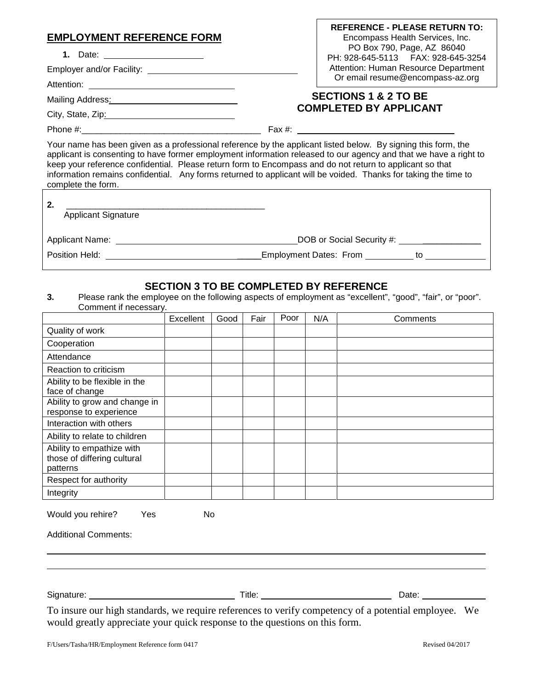| <b>EMPLOYMENT REFERENCE FORM</b>                                                                                                                                                                                                                                                                                                                                   | <b>REFERENCE - PLEASE RETURN TO:</b><br>Encompass Health Services, Inc.<br>PO Box 790, Page, AZ 86040<br>PH: 928-645-5113  FAX: 928-645-3254<br>Attention: Human Resource Department<br>Or email resume@encompass-az.org |
|--------------------------------------------------------------------------------------------------------------------------------------------------------------------------------------------------------------------------------------------------------------------------------------------------------------------------------------------------------------------|--------------------------------------------------------------------------------------------------------------------------------------------------------------------------------------------------------------------------|
| Mailing Address: Mail Communication of Mailing Address: Mail Communication of Mail Communication of Mail Communication of Mail Communication of Mail Communication of Mail Communication of Mail Communication of Mail Communi                                                                                                                                     | <b>SECTIONS 1 &amp; 2 TO BE</b>                                                                                                                                                                                          |
| City, State, Zip: 2000                                                                                                                                                                                                                                                                                                                                             | <b>COMPLETED BY APPLICANT</b>                                                                                                                                                                                            |
|                                                                                                                                                                                                                                                                                                                                                                    |                                                                                                                                                                                                                          |
| Your name has been given as a professional reference by the applicant listed below. By signing this form, the<br>keep your reference confidential. Please return form to Encompass and do not return to applicant so that<br>information remains confidential. Any forms returned to applicant will be voided. Thanks for taking the time to<br>complete the form. | applicant is consenting to have former employment information released to our agency and that we have a right to                                                                                                         |
| 2.<br>$\mathbf{A}$ . The set $\mathbf{A}$ is a set of $\mathbf{A}$                                                                                                                                                                                                                                                                                                 |                                                                                                                                                                                                                          |

ſ

| <u>.</u><br><b>Applicant Signature</b> |                                               |    |
|----------------------------------------|-----------------------------------------------|----|
| Applicant Name: _                      | DOB or Social Security #: 1990 1990 1990 1991 |    |
| Position Held:                         | <b>Employment Dates: From</b>                 | tΟ |

#### **SECTION 3 TO BE COMPLETED BY REFERENCE**

**3.** Please rank the employee on the following aspects of employment as "excellent", "good", "fair", or "poor". Comment if necessary.

|                                                                      | Excellent | Good | Fair | Poor | N/A | Comments |
|----------------------------------------------------------------------|-----------|------|------|------|-----|----------|
| Quality of work                                                      |           |      |      |      |     |          |
| Cooperation                                                          |           |      |      |      |     |          |
| Attendance                                                           |           |      |      |      |     |          |
| Reaction to criticism                                                |           |      |      |      |     |          |
| Ability to be flexible in the<br>face of change                      |           |      |      |      |     |          |
| Ability to grow and change in<br>response to experience              |           |      |      |      |     |          |
| Interaction with others                                              |           |      |      |      |     |          |
| Ability to relate to children                                        |           |      |      |      |     |          |
| Ability to empathize with<br>those of differing cultural<br>patterns |           |      |      |      |     |          |
| Respect for authority                                                |           |      |      |      |     |          |
| Integrity                                                            |           |      |      |      |     |          |

Would you rehire? Yes No

Additional Comments:

Signature: Title: Date:

To insure our high standards, we require references to verify competency of a potential employee. We would greatly appreciate your quick response to the questions on this form.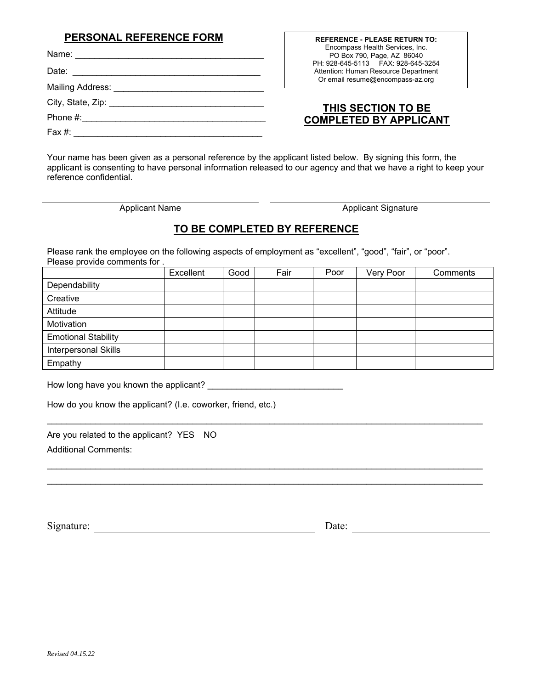#### **PERSONAL REFERENCE FORM**

| Name:              | Encompass Health Services, Inc.<br>PO Box 790, Page, AZ 86040               |
|--------------------|-----------------------------------------------------------------------------|
| Date:              | PH: 928-645-5113  FAX: 928-645-3254<br>Attention: Human Resource Department |
| Mailing Address: _ | Or email resume@encompass-az.org                                            |
| City, State, Zip:  | THIS SECTION TO BE                                                          |
| Phone #:           | <b>COMPLETED BY APPLICANT</b>                                               |
| Fax #:             |                                                                             |

Your name has been given as a personal reference by the applicant listed below. By signing this form, the applicant is consenting to have personal information released to our agency and that we have a right to keep your reference confidential.

Applicant Name Applicant Signature

**REFERENCE - PLEASE RETURN TO:** 

## **TO BE COMPLETED BY REFERENCE**

Please rank the employee on the following aspects of employment as "excellent", "good", "fair", or "poor". Please provide comments for .

|                            | Excellent | Good | Fair | Poor | Very Poor | Comments |
|----------------------------|-----------|------|------|------|-----------|----------|
| Dependability              |           |      |      |      |           |          |
| Creative                   |           |      |      |      |           |          |
| Attitude                   |           |      |      |      |           |          |
| Motivation                 |           |      |      |      |           |          |
| <b>Emotional Stability</b> |           |      |      |      |           |          |
| Interpersonal Skills       |           |      |      |      |           |          |
| Empathy                    |           |      |      |      |           |          |

\_\_\_\_\_\_\_\_\_\_\_\_\_\_\_\_\_\_\_\_\_\_\_\_\_\_\_\_\_\_\_\_\_\_\_\_\_\_\_\_\_\_\_\_\_\_\_\_\_\_\_\_\_\_\_\_\_\_\_\_\_\_\_\_\_\_\_\_\_\_\_\_\_\_\_\_\_\_\_\_\_\_\_\_\_\_\_\_\_\_

\_\_\_\_\_\_\_\_\_\_\_\_\_\_\_\_\_\_\_\_\_\_\_\_\_\_\_\_\_\_\_\_\_\_\_\_\_\_\_\_\_\_\_\_\_\_\_\_\_\_\_\_\_\_\_\_\_\_\_\_\_\_\_\_\_\_\_\_\_\_\_\_\_\_\_\_\_\_\_\_\_\_\_\_\_\_\_\_\_\_ \_\_\_\_\_\_\_\_\_\_\_\_\_\_\_\_\_\_\_\_\_\_\_\_\_\_\_\_\_\_\_\_\_\_\_\_\_\_\_\_\_\_\_\_\_\_\_\_\_\_\_\_\_\_\_\_\_\_\_\_\_\_\_\_\_\_\_\_\_\_\_\_\_\_\_\_\_\_\_\_\_\_\_\_\_\_\_\_\_\_

How long have you known the applicant? \_\_\_\_\_\_\_\_\_\_\_\_\_\_\_\_\_\_\_\_\_\_\_\_\_\_\_\_

How do you know the applicant? (I.e. coworker, friend, etc.)

Are you related to the applicant? YES NO Additional Comments:

Signature: Date: Date: Date: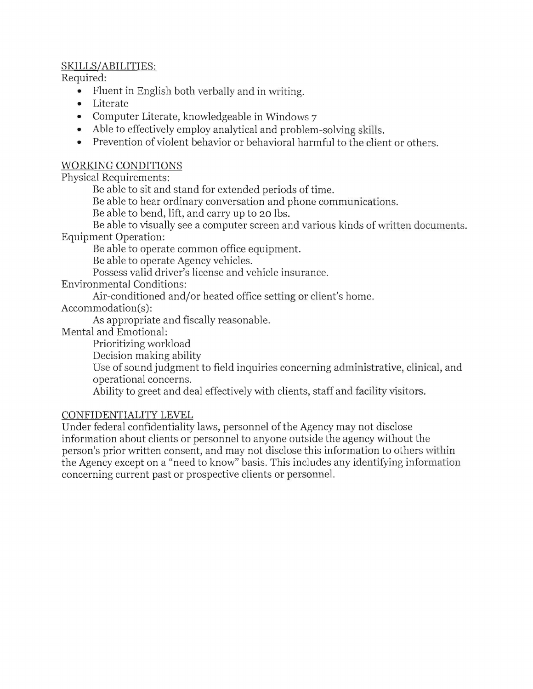## SKILLS/ABILITIES:

Required:

- Fluent in English both verbally and in writing.
- Literate
- Computer Literate, knowledgeable in Windows 7
- Able to effectively employ analytical and problem-solving skills.
- Prevention of violent behavior or behavioral harmful to the client or others.

#### WORKING CONDITIONS

Physical Requirements:

Be able to sit and stand for extended periods of time.

Be able to hear ordinary conversation and phone communications.

Be able to bend, lift, and carry up to 20 Ibs.

Be able to visually see a computer screen and various kinds of written documents.

Equipment Operation:

Be able to operate common office equipment.

Be able to operate Agency vehicles.

Possess valid driver's license and vehicle insurance.

Environmental Conditions:

Air-conditioned and/or heated office setting or client's home.

Accommodation(s):

As appropriate and fiscally reasonable.

Mental and Emotional:

Prioritizing worldoad

Decision making ability

Use of sound judgment to field inquiries concerning administrative, clinical, and operational concerns.

Ability to greet and deal effectively with clients, staff and facility visitors.

#### CONFIDENTIALITY LEVEL

Under federal confidentiality laws, personnel ofthe Agency may not disclose information about clients or personnel to anyone outside the agency without the person's prior written consent, and may not disclose this information to others within the Agency except on a "need to know" basis. This includes any identifying information concerning current past or prospective clients or personnel.